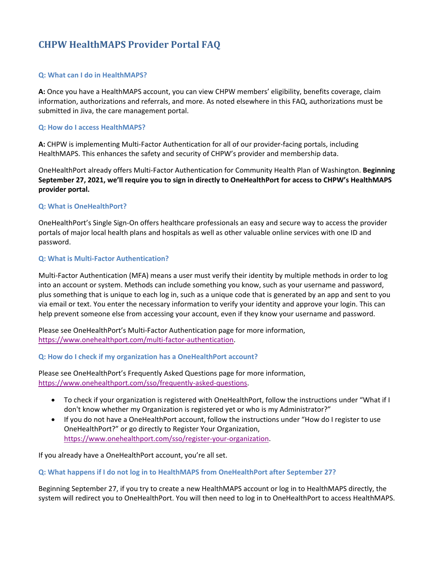# **CHPW HealthMAPS Provider Portal FAQ**

#### **Q: What can I do in HealthMAPS?**

**A:** Once you have a HealthMAPS account, you can view CHPW members' eligibility, benefits coverage, claim information, authorizations and referrals, and more. As noted elsewhere in this FAQ, authorizations must be submitted in Jiva, the care management portal.

#### **Q: How do I access HealthMAPS?**

**A:** CHPW is implementing Multi-Factor Authentication for all of our provider-facing portals, including HealthMAPS. This enhances the safety and security of CHPW's provider and membership data.

OneHealthPort already offers Multi-Factor Authentication for Community Health Plan of Washington. **Beginning September 27, 2021, we'll require you to sign in directly to OneHealthPort for access to CHPW's HealthMAPS provider portal.**

# **Q: What is OneHealthPort?**

OneHealthPort's Single Sign-On offers healthcare professionals an easy and secure way to access the provider portals of major local health plans and hospitals as well as other valuable online services with one ID and password.

# **Q: What is Multi-Factor Authentication?**

Multi-Factor Authentication (MFA) means a user must verify their identity by multiple methods in order to log into an account or system. Methods can include something you know, such as your username and password, plus something that is unique to each log in, such as a unique code that is generated by an app and sent to you via email or text. You enter the necessary information to verify your identity and approve your login. This can help prevent someone else from accessing your account, even if they know your username and password.

Please see OneHealthPort's Multi-Factor Authentication page for more information, [https://www.onehealthport.com/multi-factor-authentication.](https://www.onehealthport.com/multi-factor-authentication)

**Q: How do I check if my organization has a OneHealthPort account?**

Please see OneHealthPort's Frequently Asked Questions page for more information, [https://www.onehealthport.com/sso/frequently-asked-questions.](https://www.onehealthport.com/sso/frequently-asked-questions) 

- To check if your organization is registered with OneHealthPort, follow the instructions under "What if I don't know whether my Organization is registered yet or who is my Administrator?"
- If you do not have a OneHealthPort account, follow the instructions under "How do I register to use OneHealthPort?" or go directly to Register Your Organization, [https://www.onehealthport.com/sso/register-your-organization.](https://www.onehealthport.com/sso/register-your-organization)

If you already have a OneHealthPort account, you're all set.

# **Q: What happens if I do not log in to HealthMAPS from OneHealthPort after September 27?**

Beginning September 27, if you try to create a new HealthMAPS account or log in to HealthMAPS directly, the system will redirect you to OneHealthPort. You will then need to log in to OneHealthPort to access HealthMAPS.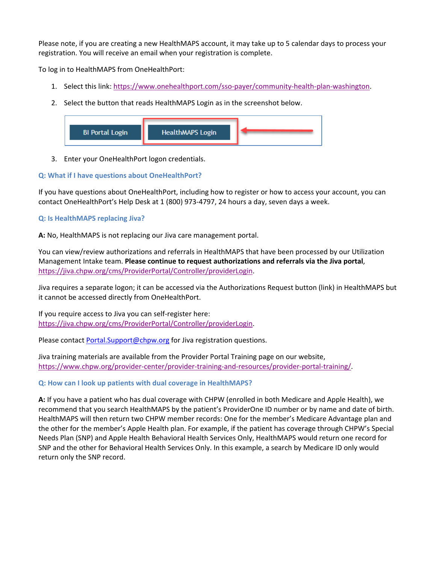Please note, if you are creating a new HealthMAPS account, it may take up to 5 calendar days to process your registration. You will receive an email when your registration is complete.

To log in to HealthMAPS from OneHealthPort:

- 1. Select this link: [https://www.onehealthport.com/sso-payer/community-health-plan-washington.](https://www.onehealthport.com/sso-payer/community-health-plan-washington)
- 2. Select the button that reads HealthMAPS Login as in the screenshot below.



3. Enter your OneHealthPort logon credentials.

# **Q: What if I have questions about OneHealthPort?**

If you have questions about OneHealthPort, including how to register or how to access your account, you can contact OneHealthPort's Help Desk at 1 (800) 973-4797, 24 hours a day, seven days a week.

# **Q: Is HealthMAPS replacing Jiva?**

**A:** No, HealthMAPS is not replacing our Jiva care management portal.

You can view/review authorizations and referrals in HealthMAPS that have been processed by our Utilization Management Intake team. **Please continue to request authorizations and referrals via the Jiva portal**, [https://jiva.chpw.org/cms/ProviderPortal/Controller/providerLogin.](https://jiva.chpw.org/cms/ProviderPortal/Controller/providerLogin)

Jiva requires a separate logon; it can be accessed via the Authorizations Request button (link) in HealthMAPS but it cannot be accessed directly from OneHealthPort.

If you require access to Jiva you can self-register here: [https://jiva.chpw.org/cms/ProviderPortal/Controller/providerLogin.](https://jiva.chpw.org/cms/ProviderPortal/Controller/providerLogin)

Please contact **Portal.Support@chpw.org** for Jiva registration questions.

Jiva training materials are available from the Provider Portal Training page on our website, [https://www.chpw.org/provider-center/provider-training-and-resources/provider-portal-training/.](https://www.chpw.org/provider-center/provider-training-and-resources/provider-portal-training/)

# **Q: How can I look up patients with dual coverage in HealthMAPS?**

**A:** If you have a patient who has dual coverage with CHPW (enrolled in both Medicare and Apple Health), we recommend that you search HealthMAPS by the patient's ProviderOne ID number or by name and date of birth. HealthMAPS will then return two CHPW member records: One for the member's Medicare Advantage plan and the other for the member's Apple Health plan. For example, if the patient has coverage through CHPW's Special Needs Plan (SNP) and Apple Health Behavioral Health Services Only, HealthMAPS would return one record for SNP and the other for Behavioral Health Services Only. In this example, a search by Medicare ID only would return only the SNP record.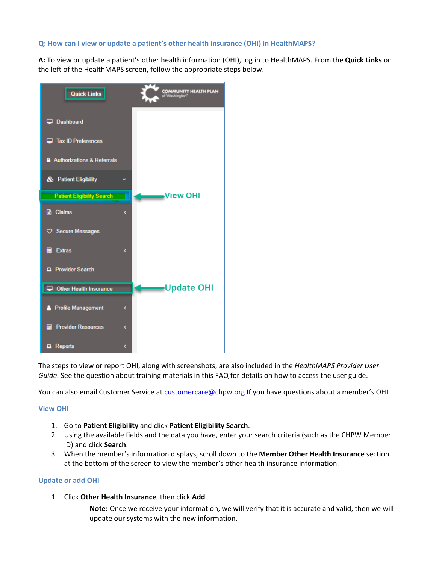# **Q: How can I view or update a patient's other health insurance (OHI) in HealthMAPS?**

**A:** To view or update a patient's other health information (OHI), log in to HealthMAPS. From the **Quick Links** on the left of the HealthMAPS screen, follow the appropriate steps below.



The steps to view or report OHI, along with screenshots, are also included in the *HealthMAPS Provider User Guide*. See the question about training materials in this FAQ for details on how to access the user guide.

You can also email Customer Service at [customercare@chpw.org](mailto:customercare@chpw.org) If you have questions about a member's OHI.

# **View OHI**

- 1. Go to **Patient Eligibility** and click **Patient Eligibility Search**.
- 2. Using the available fields and the data you have, enter your search criteria (such as the CHPW Member ID) and click **Search**.
- 3. When the member's information displays, scroll down to the **Member Other Health Insurance** section at the bottom of the screen to view the member's other health insurance information.

#### **Update or add OHI**

1. Click **Other Health Insurance**, then click **Add**.

**Note:** Once we receive your information, we will verify that it is accurate and valid, then we will update our systems with the new information.